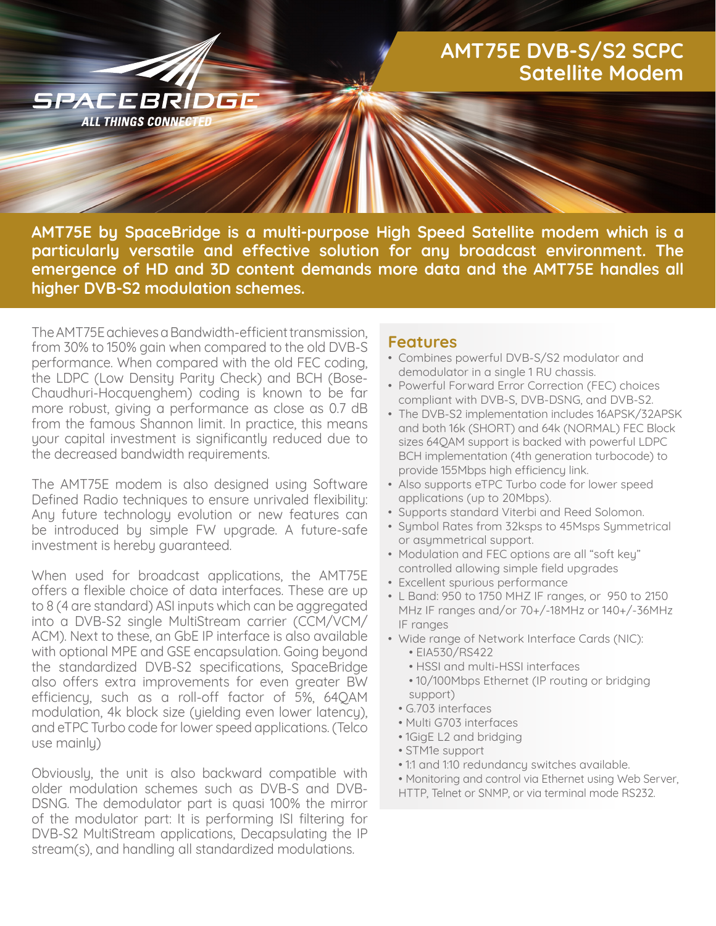## **AMT75E DVB-S/S2 SCPC Satellite Modem**

**AMT75E by SpaceBridge is a multi-purpose High Speed Satellite modem which is a particularly versatile and effective solution for any broadcast environment. The emergence of HD and 3D content demands more data and the AMT75E handles all higher DVB-S2 modulation schemes.**

The AMT75E achieves a Bandwidth-efficient transmission, from 30% to 150% gain when compared to the old DVB-S performance. When compared with the old FEC coding, the LDPC (Low Density Parity Check) and BCH (Bose-Chaudhuri-Hocquenghem) coding is known to be far more robust, giving a performance as close as 0.7 dB from the famous Shannon limit. In practice, this means your capital investment is significantly reduced due to the decreased bandwidth requirements.

SPACEBRÍDGE **ALL THINGS CONNECT** 

The AMT75E modem is also designed using Software Defined Radio techniques to ensure unrivaled flexibility: Any future technology evolution or new features can be introduced by simple FW upgrade. A future-safe investment is hereby guaranteed.

When used for broadcast applications, the AMT75E offers a flexible choice of data interfaces. These are up to 8 (4 are standard) ASI inputs which can be aggregated into a DVB-S2 single MultiStream carrier (CCM/VCM/ ACM). Next to these, an GbE IP interface is also available with optional MPE and GSE encapsulation. Going beyond the standardized DVB-S2 specifications, SpaceBridge also offers extra improvements for even greater BW efficiency, such as a roll-off factor of 5%, 64QAM modulation, 4k block size (yielding even lower latency), and eTPC Turbo code for lower speed applications. (Telco use mainly)

Obviously, the unit is also backward compatible with older modulation schemes such as DVB-S and DVB-DSNG. The demodulator part is quasi 100% the mirror of the modulator part: It is performing ISI filtering for DVB-S2 MultiStream applications, Decapsulating the IP stream(s), and handling all standardized modulations.

## **Features**

- Combines powerful DVB-S/S2 modulator and demodulator in a single 1 RU chassis.
- Powerful Forward Error Correction (FEC) choices compliant with DVB-S, DVB-DSNG, and DVB-S2.
- The DVB-S2 implementation includes 16APSK/32APSK and both 16k (SHORT) and 64k (NORMAL) FEC Block sizes 64QAM support is backed with powerful LDPC BCH implementation (4th generation turbocode) to provide 155Mbps high efficiency link.
- Also supports eTPC Turbo code for lower speed applications (up to 20Mbps).
- Supports standard Viterbi and Reed Solomon.
- Symbol Rates from 32ksps to 45Msps Symmetrical or asymmetrical support.
- Modulation and FEC options are all "soft key" controlled allowing simple field upgrades
- Excellent spurious performance
- L Band: 950 to 1750 MHZ IF ranges, or 950 to 2150 MHz IF ranges and/or 70+/-18MHz or 140+/-36MHz IF ranges
- Wide range of Network Interface Cards (NIC):
	- EIA530/RS422
	- HSSI and multi-HSSI interfaces
	- 10/100Mbps Ethernet (IP routing or bridging support)
	- G.703 interfaces
	- Multi G703 interfaces
	- 1GigE L2 and bridging
	- STM1e support
- 1:1 and 1:10 redundancy switches available.
- Monitoring and control via Ethernet using Web Server, HTTP, Telnet or SNMP, or via terminal mode RS232.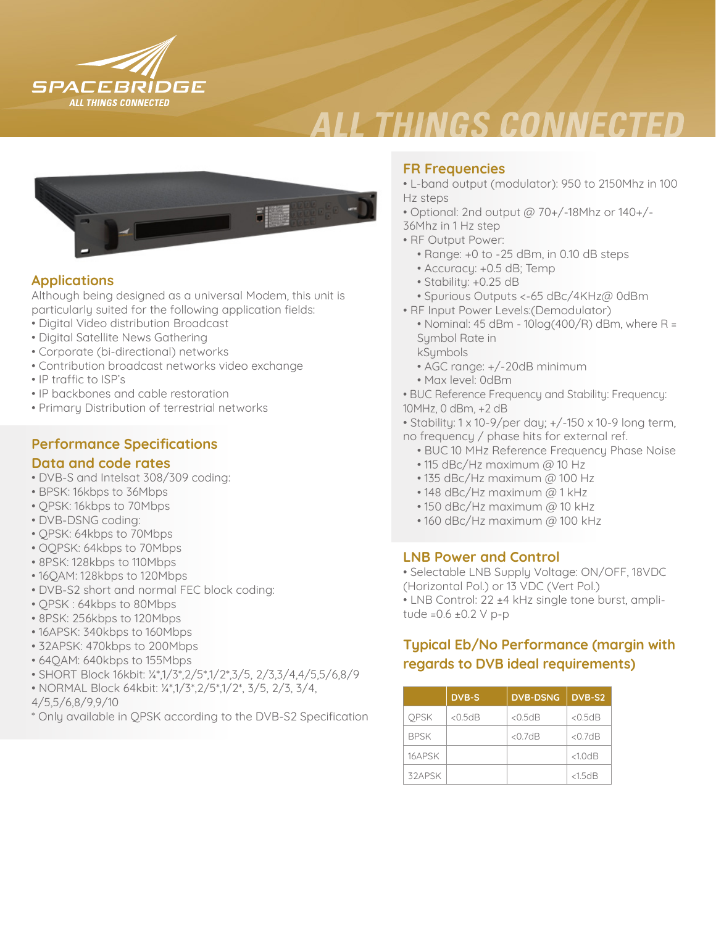

# **ALL THINGS CONNECTED**



## **Applications**

Although being designed as a universal Modem, this unit is particularly suited for the following application fields:

- Digital Video distribution Broadcast
- Digital Satellite News Gathering
- Corporate (bi-directional) networks
- Contribution broadcast networks video exchange
- IP traffic to ISP's
- IP backbones and cable restoration
- Primary Distribution of terrestrial networks

## **Performance Specifications**

#### **Data and code rates**

- DVB-S and Intelsat 308/309 coding:
- BPSK: 16kbps to 36Mbps
- QPSK: 16kbps to 70Mbps
- DVB-DSNG coding:
- QPSK: 64kbps to 70Mbps
- OQPSK: 64kbps to 70Mbps
- 8PSK: 128kbps to 110Mbps
- 16QAM: 128kbps to 120Mbps
- DVB-S2 short and normal FEC block coding:
- QPSK : 64kbps to 80Mbps
- 8PSK: 256kbps to 120Mbps
- 16APSK: 340kbps to 160Mbps
- 32APSK: 470kbps to 200Mbps
- 64QAM: 640kbps to 155Mbps
- SHORT Block 16kbit: ¼\*,1/3\*,2/5\*,1/2\*,3/5, 2/3,3/4,4/5,5/6,8/9
- NORMAL Block 64kbit: ¼\*,1/3\*,2/5\*,1/2\*, 3/5, 2/3, 3/4,
- 4/5,5/6,8/9,9/10
- \* Only available in QPSK according to the DVB-S2 Specification

### **FR Frequencies**

- L-band output (modulator): 950 to 2150Mhz in 100 Hz steps
- Optional: 2nd output @ 70+/-18Mhz or 140+/-
- 36Mhz in 1 Hz step
- RF Output Power:
	- Range: +0 to -25 dBm, in 0.10 dB steps
	- Accuracy: +0.5 dB; Temp
	- Stability: +0.25 dB
	- Spurious Outputs <-65 dBc/4KHz@ 0dBm
- RF Input Power Levels:(Demodulator)
- Nominal: 45 dBm 10log(400/R) dBm, where R = Symbol Rate in
- kSymbols
- AGC range: +/-20dB minimum
- Max level: 0dBm
- BUC Reference Frequency and Stability: Frequency: 10MHz, 0 dBm, +2 dB
- Stability: 1 x 10-9/per day; +/-150 x 10-9 long term, no frequency / phase hits for external ref.
	- BUC 10 MHz Reference Frequency Phase Noise
	- 115 dBc/Hz maximum @ 10 Hz
	- 135 dBc/Hz maximum @ 100 Hz
	- 148 dBc/Hz maximum @ 1 kHz
	- 150 dBc/Hz maximum @ 10 kHz
	- 160 dBc/Hz maximum @ 100 kHz

#### **LNB Power and Control**

- Selectable LNB Supply Voltage: ON/OFF, 18VDC (Horizontal Pol.) or 13 VDC (Vert Pol.) • LNB Control: 22 ±4 kHz single tone burst, ampli-
- tude = $0.6 \pm 0.2$  V p-p

## **Typical Eb/No Performance (margin with regards to DVB ideal requirements)**

|             | <b>DVB-S</b> | <b>DVB-DSNG</b> | DVB-S2    |
|-------------|--------------|-----------------|-----------|
| <b>OPSK</b> | $<$ 0.5dB    | $<$ 0.5 dB      | $<$ 0.5dB |
| <b>BPSK</b> |              | $<$ 0.7dB       | $<$ 0.7dB |
| 16APSK      |              |                 | <1.0dB    |
| 32APSK      |              |                 | <1.5dB    |